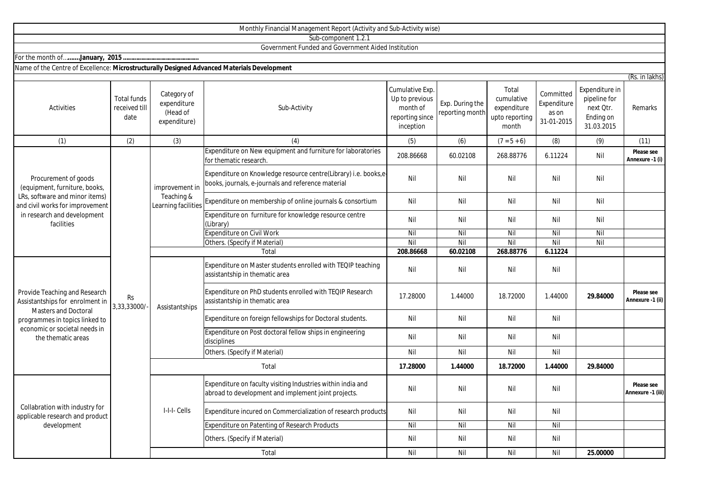|                                                                                                                                                                                          |                                             |                                                                       | Monthly Financial Management Report (Activity and Sub-Activity wise)                                                  |                                                                               |                                    |                                                               |                                                 |                                                                        |                                 |
|------------------------------------------------------------------------------------------------------------------------------------------------------------------------------------------|---------------------------------------------|-----------------------------------------------------------------------|-----------------------------------------------------------------------------------------------------------------------|-------------------------------------------------------------------------------|------------------------------------|---------------------------------------------------------------|-------------------------------------------------|------------------------------------------------------------------------|---------------------------------|
|                                                                                                                                                                                          |                                             |                                                                       | Sub-component 1.2.1                                                                                                   |                                                                               |                                    |                                                               |                                                 |                                                                        |                                 |
|                                                                                                                                                                                          |                                             |                                                                       | Government Funded and Government Aided Institution                                                                    |                                                                               |                                    |                                                               |                                                 |                                                                        |                                 |
|                                                                                                                                                                                          |                                             |                                                                       |                                                                                                                       |                                                                               |                                    |                                                               |                                                 |                                                                        |                                 |
| Name of the Centre of Excellence: Microstructurally Designed Advanced Materials Development                                                                                              |                                             |                                                                       |                                                                                                                       |                                                                               |                                    |                                                               |                                                 |                                                                        |                                 |
|                                                                                                                                                                                          |                                             |                                                                       |                                                                                                                       |                                                                               |                                    |                                                               |                                                 |                                                                        | (Rs. in lakhs)                  |
| Activities                                                                                                                                                                               | <b>Total funds</b><br>received till<br>date | Category of<br>expenditure<br>(Head of<br>expenditure)                | Sub-Activity                                                                                                          | Cumulative Exp.<br>Up to previous<br>month of<br>reporting since<br>inception | Exp. During the<br>reporting month | Total<br>cumulative<br>expenditure<br>upto reporting<br>month | Committed<br>Expenditure<br>as on<br>31-01-2015 | Expenditure in<br>pipeline for<br>next Otr.<br>Ending on<br>31.03.2015 | Remarks                         |
| (1)                                                                                                                                                                                      | (2)                                         | (3)                                                                   | (4)                                                                                                                   | (5)                                                                           | (6)                                | $(7 = 5 + 6)$                                                 | (8)                                             | (9)                                                                    | (11)                            |
| Procurement of goods<br>(equipment, furniture, books,<br>LRs, software and minor items)<br>and civil works for improvement<br>in research and development<br>facilities                  | <b>Rs</b><br>3,33,33000/                    | improvement in<br>Teaching &<br>Learning facilities<br>Assistantships | Expenditure on New equipment and furniture for laboratories<br>for thematic research                                  | 208.86668                                                                     | 60.02108                           | 268.88776                                                     | 6.11224                                         | Nil                                                                    | Please see<br>Annexure -1 (i)   |
|                                                                                                                                                                                          |                                             |                                                                       | Expenditure on Knowledge resource centre(Library) i.e. books,e-<br>books, journals, e-journals and reference material | Nil                                                                           | Nil                                | Nil                                                           | Nil                                             | Nil                                                                    |                                 |
|                                                                                                                                                                                          |                                             |                                                                       | Expenditure on membership of online journals & consortium                                                             | Nil                                                                           | Nil                                | Nil                                                           | Nil                                             | Nil                                                                    |                                 |
|                                                                                                                                                                                          |                                             |                                                                       | Expenditure on furniture for knowledge resource centre<br>(Library)                                                   | Nil                                                                           | Nil                                | Nil                                                           | Nil                                             | Nil                                                                    |                                 |
|                                                                                                                                                                                          |                                             |                                                                       | <b>Expenditure on Civil Work</b>                                                                                      | Nil                                                                           | Nil                                | $\overline{N}$                                                | Nil                                             | Nil                                                                    |                                 |
|                                                                                                                                                                                          |                                             |                                                                       | Others. (Specify if Material)                                                                                         | Nil                                                                           | Nil                                | Nil                                                           | Nil                                             | Nil                                                                    |                                 |
|                                                                                                                                                                                          |                                             |                                                                       | Total                                                                                                                 | 208.86668                                                                     | 60.02108                           | 268.88776                                                     | 6.11224                                         |                                                                        |                                 |
| Provide Teaching and Research<br>Assistantships for enrolment in<br><b>Masters and Doctoral</b><br>programmes in topics linked to<br>economic or societal needs in<br>the thematic areas |                                             |                                                                       | Expenditure on Master students enrolled with TEQIP teaching<br>assistantship in thematic area                         | Nil                                                                           | Nil                                | Nil                                                           | Nil                                             |                                                                        |                                 |
|                                                                                                                                                                                          |                                             |                                                                       | Expenditure on PhD students enrolled with TEQIP Research<br>assistantship in thematic area                            | 17.28000                                                                      | 1.44000                            | 18.72000                                                      | 1.44000                                         | 29.84000                                                               | Please see<br>Annexure -1 (ii)  |
|                                                                                                                                                                                          |                                             |                                                                       | Expenditure on foreign fellowships for Doctoral students.                                                             | Nil                                                                           | Nil                                | Nil                                                           | Nil                                             |                                                                        |                                 |
|                                                                                                                                                                                          |                                             |                                                                       | Expenditure on Post doctoral fellow ships in engineering<br>disciplines                                               | Nil                                                                           | Nil                                | Nil                                                           | Nil                                             |                                                                        |                                 |
|                                                                                                                                                                                          |                                             |                                                                       | Others. (Specify if Material)                                                                                         | Nil                                                                           | Nil                                | Nil                                                           | Nil                                             |                                                                        |                                 |
|                                                                                                                                                                                          |                                             | Total                                                                 |                                                                                                                       | 17.28000                                                                      | 1.44000                            | 18.72000                                                      | 1.44000                                         | 29.84000                                                               |                                 |
| Collabration with industry for<br>applicable research and product<br>development                                                                                                         |                                             | I-I-I- Cells                                                          | Expenditure on faculty visiting Industries within india and<br>abroad to development and implement joint projects.    | Nil                                                                           | Nil                                | Nil                                                           | Nil                                             |                                                                        | Please see<br>Annexure -1 (iii) |
|                                                                                                                                                                                          |                                             |                                                                       | Expenditure incured on Commercialization of research products                                                         | Nil                                                                           | Nil                                | Nil                                                           | Nil                                             |                                                                        |                                 |
|                                                                                                                                                                                          |                                             |                                                                       | Expenditure on Patenting of Research Products                                                                         | Nil                                                                           | Nil                                | Nil                                                           | Nil                                             |                                                                        |                                 |
|                                                                                                                                                                                          |                                             |                                                                       | Others. (Specify if Material)                                                                                         | Nil                                                                           | Nil                                | Nil                                                           | Nil                                             |                                                                        |                                 |

Total

Nil Nil Nil Nil **25.00000**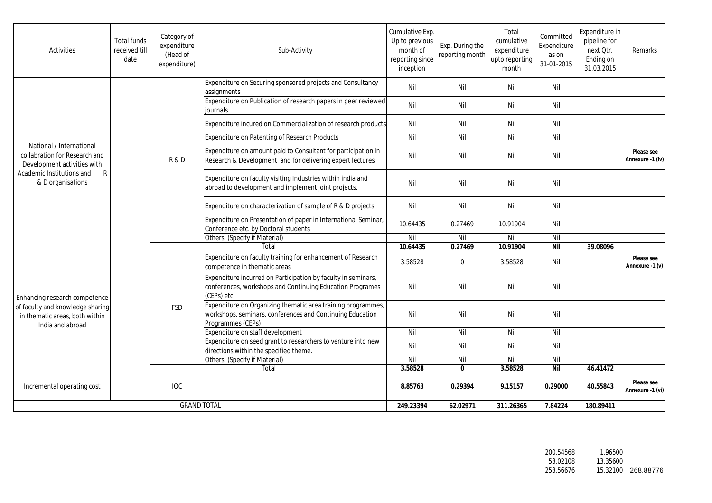| <b>Activities</b>                                                                                                                               | <b>Total funds</b><br>received till<br>date | Category of<br>expenditure<br>(Head of<br>expenditure) | Sub-Activity                                                                                                                                   | Cumulative Exp.<br>Up to previous<br>month of<br>reporting since<br>inception | Exp. During the<br>reporting month | Total<br>cumulative<br>expenditure<br>upto reporting<br>month | Committed<br>Expenditure<br>as on<br>31-01-2015 | Expenditure in<br>pipeline for<br>next Qtr.<br>Ending on<br>31.03.2015 | Remarks                        |
|-------------------------------------------------------------------------------------------------------------------------------------------------|---------------------------------------------|--------------------------------------------------------|------------------------------------------------------------------------------------------------------------------------------------------------|-------------------------------------------------------------------------------|------------------------------------|---------------------------------------------------------------|-------------------------------------------------|------------------------------------------------------------------------|--------------------------------|
|                                                                                                                                                 |                                             | R&D                                                    | Expenditure on Securing sponsored projects and Consultancy<br>assignments                                                                      | Nil                                                                           | Nil                                | Nil                                                           | Nil                                             |                                                                        |                                |
|                                                                                                                                                 |                                             |                                                        | Expenditure on Publication of research papers in peer reviewed<br>journals                                                                     | Nil                                                                           | Nil                                | Nil                                                           | Nil                                             |                                                                        |                                |
|                                                                                                                                                 |                                             |                                                        | Expenditure incured on Commercialization of research products                                                                                  | Nil                                                                           | Nil                                | Nil                                                           | Nil                                             |                                                                        |                                |
|                                                                                                                                                 |                                             |                                                        | <b>Expenditure on Patenting of Research Products</b>                                                                                           | Nil                                                                           | Nil                                | Nil                                                           | Nil                                             |                                                                        |                                |
| National / International<br>collabration for Research and<br>Development activities with<br>Academic Institutions and<br>R<br>& D organisations |                                             |                                                        | Expenditure on amount paid to Consultant for participation in<br>Research & Development and for delivering expert lectures                     | Nil                                                                           | Nil                                | Nil                                                           | Nil                                             |                                                                        | Please see<br>Annexure -1 (iv) |
|                                                                                                                                                 |                                             |                                                        | Expenditure on faculty visiting Industries within india and<br>abroad to development and implement joint projects.                             | Nil                                                                           | Nil                                | Nil                                                           | Nil                                             |                                                                        |                                |
|                                                                                                                                                 |                                             |                                                        | Expenditure on characterization of sample of R & D projects                                                                                    | Nil                                                                           | Nil                                | Nil                                                           | Nil                                             |                                                                        |                                |
|                                                                                                                                                 |                                             |                                                        | Expenditure on Presentation of paper in International Seminar,<br>Conference etc. by Doctoral students                                         | 10.64435                                                                      | 0.27469                            | 10.91904                                                      | Nil                                             |                                                                        |                                |
|                                                                                                                                                 |                                             |                                                        | Others. (Specify if Material)                                                                                                                  | Nil                                                                           | Nil                                | Nil                                                           | Nil                                             |                                                                        |                                |
|                                                                                                                                                 |                                             |                                                        | Total                                                                                                                                          | 10.64435                                                                      | 0.27469                            | 10.91904                                                      | <b>Nil</b>                                      | 39.08096                                                               |                                |
|                                                                                                                                                 |                                             | <b>FSD</b>                                             | Expenditure on faculty training for enhancement of Research<br>competence in thematic areas                                                    | 3.58528                                                                       | $\mathbf 0$                        | 3.58528                                                       | Nil                                             |                                                                        | Please see<br>Annexure -1 (v)  |
| Enhancing research competence<br>of faculty and knowledge sharing<br>in thematic areas, both within<br>India and abroad                         |                                             |                                                        | Expenditure incurred on Participation by faculty in seminars,<br>conferences, workshops and Continuing Education Programes<br>(CEPs) etc.      | Nil                                                                           | Nil                                | Nil                                                           | Nil                                             |                                                                        |                                |
|                                                                                                                                                 |                                             |                                                        | Expenditure on Organizing thematic area training programmes,<br>workshops, seminars, conferences and Continuing Education<br>Programmes (CEPs) | Nil                                                                           | Nil                                | Nil                                                           | Nil                                             |                                                                        |                                |
|                                                                                                                                                 |                                             |                                                        | Expenditure on staff development                                                                                                               | Nil                                                                           | Nil                                | Nil                                                           | Nil                                             |                                                                        |                                |
|                                                                                                                                                 |                                             |                                                        | Expenditure on seed grant to researchers to venture into new<br>directions within the specified theme.                                         | Nil                                                                           | Nil                                | Nil                                                           | Nil                                             |                                                                        |                                |
|                                                                                                                                                 |                                             |                                                        | Others. (Specify if Material)                                                                                                                  | Nil                                                                           | Nil                                | Nil                                                           | Nil                                             |                                                                        |                                |
|                                                                                                                                                 |                                             |                                                        | Total                                                                                                                                          | 3.58528                                                                       | $\bf{0}$                           | 3.58528                                                       | <b>Nil</b>                                      | 46.41472                                                               |                                |
| Incremental operating cost                                                                                                                      |                                             | <b>IOC</b>                                             |                                                                                                                                                | 8.85763                                                                       | 0.29394                            | 9.15157                                                       | 0.29000                                         | 40.55843                                                               | Please see<br>Annexure -1 (vi) |
| <b>GRAND TOTAL</b>                                                                                                                              |                                             |                                                        | 249.23394                                                                                                                                      | 62.02971                                                                      | 311.26365                          | 7.84224                                                       | 180.89411                                       |                                                                        |                                |

| 200.54568 | 1.96500  |                    |
|-----------|----------|--------------------|
| 53.02108  | 13.35600 |                    |
| 253.56676 |          | 15.32100 268.88776 |